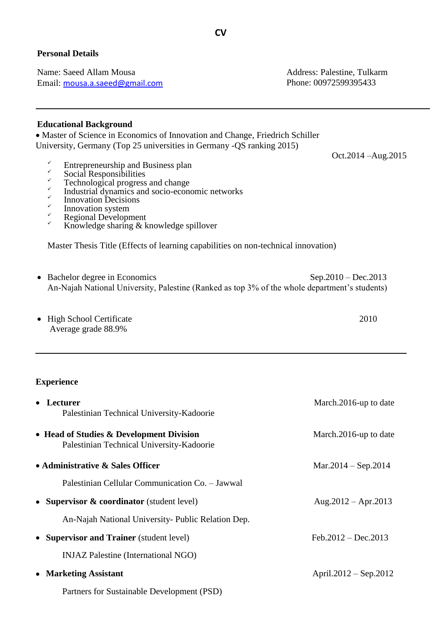## **Personal Details**

Name: Saeed Allam Mousa Address: Palestine, Tulkarm Email: [mousa.a.saeed@gmail.com](mailto:mousa.a.saeed@gmail.com) Phone: 00972599395433

Oct.2014 –Aug.2015

## **Educational Background**

 Master of Science in Economics of Innovation and Change, Friedrich Schiller University, Germany (Top 25 universities in Germany -QS ranking 2015)

- $\overline{E}$  Entrepreneurship and Business plan
- $\checkmark$  Social Responsibilities
- $\checkmark$  Technological progress and change
- $\checkmark$ Industrial dynamics and socio-economic networks
- $\checkmark$ Innovation Decisions
- $\checkmark$ Innovation system
- **Regional Development**
- Knowledge sharing & knowledge spillover

Master Thesis Title (Effects of learning capabilities on non-technical innovation)

- Bachelor degree in Economics Sep.2010 Dec.2013 An-Najah National University, Palestine (Ranked as top 3% of the whole department's students)
- High School Certificate 2010 Average grade 88.9%

## **Experience**

| • Lecturer                                                                            | March.2016-up to date     |
|---------------------------------------------------------------------------------------|---------------------------|
| Palestinian Technical University-Kadoorie                                             |                           |
| • Head of Studies & Development Division<br>Palestinian Technical University-Kadoorie | March.2016-up to date     |
| • Administrative & Sales Officer                                                      | $Mar.2014 - Sep.2014$     |
| Palestinian Cellular Communication Co. - Jawwal                                       |                           |
| • Supervisor & coordinator (student level)                                            | Aug. $2012 -$ Apr. $2013$ |
| An-Najah National University- Public Relation Dep.                                    |                           |
| • Supervisor and Trainer (student level)                                              | Feb.2012 – Dec.2013       |
| <b>INJAZ Palestine (International NGO)</b>                                            |                           |
| • Marketing Assistant                                                                 | April.2012 – Sep.2012     |
| Partners for Sustainable Development (PSD)                                            |                           |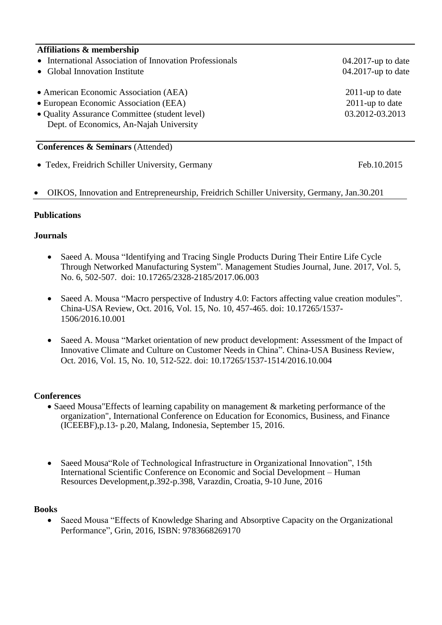## **Affiliations & membership**

- International Association of Innovation Professionals
- Global Innovation Institute
- American Economic Association (AEA) 2011-up to date
- European Economic Association (EEA) 2011-up to date
- Quality Assurance Committee (student level) 03.2012-03.2013 Dept. of Economics, An-Najah University

## **Conferences & Seminars** (Attended)

• Tedex, Freidrich Schiller University, Germany Feb.10.2015

## OIKOS, Innovation and Entrepreneurship, Freidrich Schiller University, Germany, Jan.30.201

### **Publications**

### **Journals**

- Saeed A. Mousa "Identifying and Tracing Single Products During Their Entire Life Cycle Through Networked Manufacturing System". Management Studies Journal, June. 2017, Vol. 5, No. 6, 502-507. doi: 10.17265/2328-2185/2017.06.003
- Saeed A. Mousa "Macro perspective of Industry 4.0: Factors affecting value creation modules". China-USA Review, Oct. 2016, Vol. 15, No. 10, 457-465. doi: 10.17265/1537- 1506/2016.10.001
- Saeed A. Mousa "Market orientation of new product development: Assessment of the Impact of Innovative Climate and Culture on Customer Needs in China". China-USA Business Review, Oct. 2016, Vol. 15, No. 10, 512-522. doi: 10.17265/1537-1514/2016.10.004

### **Conferences**

- Saeed Mousa "Effects of learning capability on management & marketing performance of the organization", International Conference on Education for Economics, Business, and Finance (ICEEBF),p.13- p.20, Malang, Indonesia, September 15, 2016.
- Saeed Mousa"Role of Technological Infrastructure in Organizational Innovation", 15th International Scientific Conference on Economic and Social Development – Human Resources Development,p.392-p.398, Varazdin, Croatia, 9-10 June, 2016

#### **Books**

• Saeed Mousa "Effects of Knowledge Sharing and Absorptive Capacity on the Organizational Performance", Grin, 2016, ISBN: 9783668269170

 04.2017-up to date 04.2017-up to date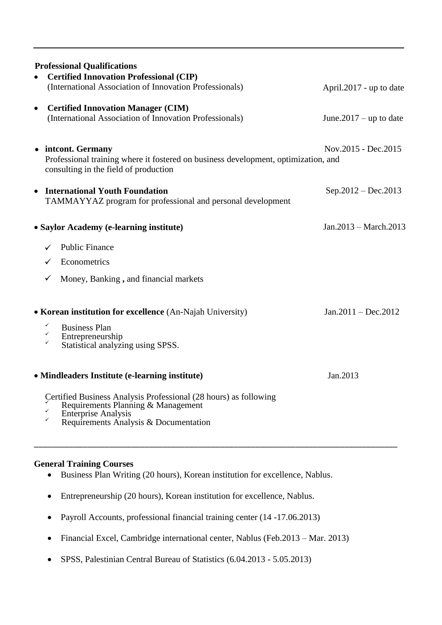|                                                                    | <b>Professional Qualifications</b>                                                                                                                                            |                           |
|--------------------------------------------------------------------|-------------------------------------------------------------------------------------------------------------------------------------------------------------------------------|---------------------------|
|                                                                    | <b>Certified Innovation Professional (CIP)</b><br>(International Association of Innovation Professionals)                                                                     | April.2017 - up to date   |
| $\bullet$                                                          | <b>Certified Innovation Manager (CIM)</b><br>(International Association of Innovation Professionals)                                                                          | June. $2017 -$ up to date |
|                                                                    | • intcont. Germany<br>Professional training where it fostered on business development, optimization, and<br>consulting in the field of production                             | Nov.2015 - Dec.2015       |
|                                                                    | <b>International Youth Foundation</b><br>TAMMAYYAZ program for professional and personal development                                                                          | $Sep.2012 - Dec.2013$     |
| $Jan.2013 - March.2013$<br>• Saylor Academy (e-learning institute) |                                                                                                                                                                               |                           |
|                                                                    | <b>Public Finance</b><br>Econometrics                                                                                                                                         |                           |
|                                                                    | Money, Banking, and financial markets                                                                                                                                         |                           |
|                                                                    | • Korean institution for excellence (An-Najah University)                                                                                                                     | $Jan.2011 - Dec.2012$     |
|                                                                    | <b>Business Plan</b><br>Entrepreneurship<br>Statistical analyzing using SPSS.                                                                                                 |                           |
|                                                                    | • Mindleaders Institute (e-learning institute)                                                                                                                                | Jan.2013                  |
|                                                                    | Certified Business Analysis Professional (28 hours) as following<br>Requirements Planning & Management<br><b>Enterprise Analysis</b><br>Requirements Analysis & Documentation |                           |

## **General Training Courses**

- Business Plan Writing (20 hours), Korean institution for excellence, Nablus.
- Entrepreneurship (20 hours), Korean institution for excellence, Nablus.
- Payroll Accounts, professional financial training center (14 -17.06.2013)
- Financial Excel, Cambridge international center, Nablus (Feb.2013 Mar. 2013)
- SPSS, Palestinian Central Bureau of Statistics (6.04.2013 5.05.2013)